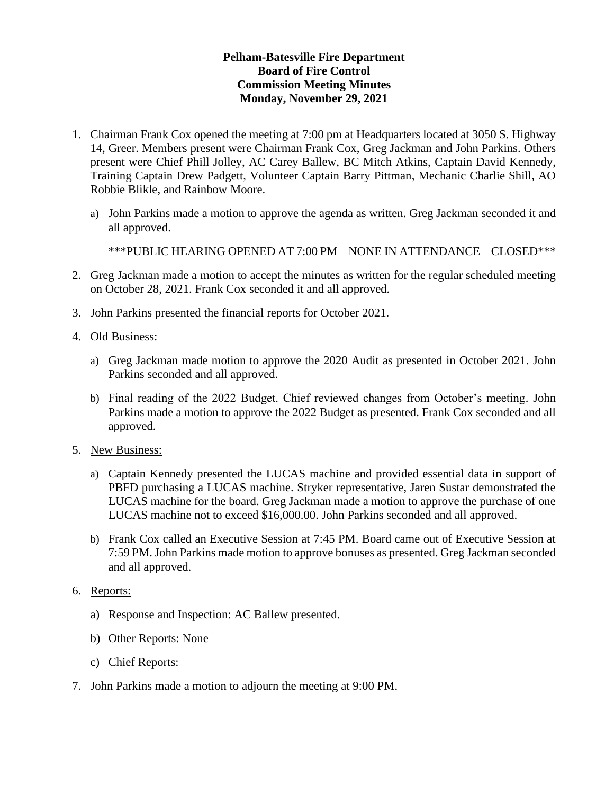## **Pelham-Batesville Fire Department Board of Fire Control Commission Meeting Minutes Monday, November 29, 2021**

- 1. Chairman Frank Cox opened the meeting at 7:00 pm at Headquarters located at 3050 S. Highway 14, Greer. Members present were Chairman Frank Cox, Greg Jackman and John Parkins. Others present were Chief Phill Jolley, AC Carey Ballew, BC Mitch Atkins, Captain David Kennedy, Training Captain Drew Padgett, Volunteer Captain Barry Pittman, Mechanic Charlie Shill, AO Robbie Blikle, and Rainbow Moore.
	- a) John Parkins made a motion to approve the agenda as written. Greg Jackman seconded it and all approved.

\*\*\*PUBLIC HEARING OPENED AT 7:00 PM – NONE IN ATTENDANCE – CLOSED\*\*\*

- 2. Greg Jackman made a motion to accept the minutes as written for the regular scheduled meeting on October 28, 2021. Frank Cox seconded it and all approved.
- 3. John Parkins presented the financial reports for October 2021.
- 4. Old Business:
	- a) Greg Jackman made motion to approve the 2020 Audit as presented in October 2021. John Parkins seconded and all approved.
	- b) Final reading of the 2022 Budget. Chief reviewed changes from October's meeting. John Parkins made a motion to approve the 2022 Budget as presented. Frank Cox seconded and all approved.
- 5. New Business:
	- a) Captain Kennedy presented the LUCAS machine and provided essential data in support of PBFD purchasing a LUCAS machine. Stryker representative, Jaren Sustar demonstrated the LUCAS machine for the board. Greg Jackman made a motion to approve the purchase of one LUCAS machine not to exceed \$16,000.00. John Parkins seconded and all approved.
	- b) Frank Cox called an Executive Session at 7:45 PM. Board came out of Executive Session at 7:59 PM.John Parkins made motion to approve bonuses as presented. Greg Jackman seconded and all approved.
- 6. Reports:
	- a) Response and Inspection: AC Ballew presented.
	- b) Other Reports: None
	- c) Chief Reports:
- 7. John Parkins made a motion to adjourn the meeting at 9:00 PM.